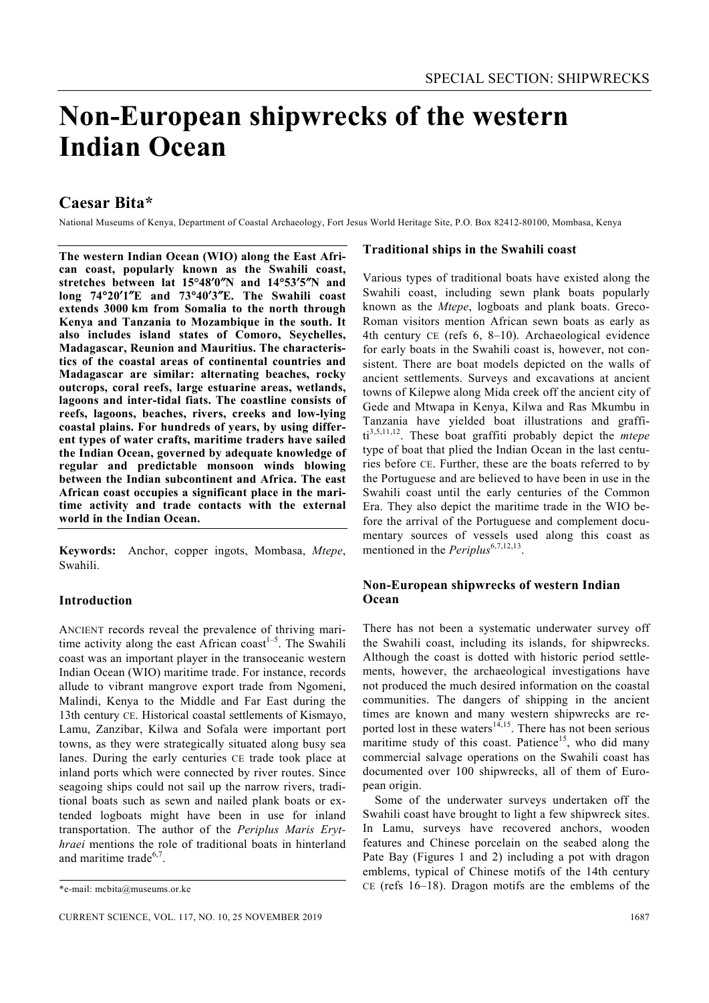# **Non-European shipwrecks of the western Indian Ocean**

# **Caesar Bita\***

National Museums of Kenya, Department of Coastal Archaeology, Fort Jesus World Heritage Site, P.O. Box 82412-80100, Mombasa, Kenya

**The western Indian Ocean (WIO) along the East African coast, popularly known as the Swahili coast, stretches between lat 15°48**′**0**″**N and 14**°**53**′**5**″**N and long 74**°**20**′**1**″**E and 73**°**40**′**3**″**E. The Swahili coast extends 3000 km from Somalia to the north through Kenya and Tanzania to Mozambique in the south. It also includes island states of Comoro, Seychelles, Madagascar, Reunion and Mauritius. The characteristics of the coastal areas of continental countries and Madagascar are similar: alternating beaches, rocky outcrops, coral reefs, large estuarine areas, wetlands, lagoons and inter-tidal fiats. The coastline consists of reefs, lagoons, beaches, rivers, creeks and low-lying coastal plains. For hundreds of years, by using different types of water crafts, maritime traders have sailed the Indian Ocean, governed by adequate knowledge of regular and predictable monsoon winds blowing between the Indian subcontinent and Africa. The east African coast occupies a significant place in the maritime activity and trade contacts with the external world in the Indian Ocean.** 

**Keywords:** Anchor, copper ingots, Mombasa, *Mtepe*, Swahili.

### **Introduction**

ANCIENT records reveal the prevalence of thriving maritime activity along the east African coast<sup> $1-5$ </sup>. The Swahili coast was an important player in the transoceanic western Indian Ocean (WIO) maritime trade. For instance, records allude to vibrant mangrove export trade from Ngomeni, Malindi, Kenya to the Middle and Far East during the 13th century CE. Historical coastal settlements of Kismayo, Lamu, Zanzibar, Kilwa and Sofala were important port towns, as they were strategically situated along busy sea lanes. During the early centuries CE trade took place at inland ports which were connected by river routes. Since seagoing ships could not sail up the narrow rivers, traditional boats such as sewn and nailed plank boats or extended logboats might have been in use for inland transportation. The author of the *Periplus Maris Erythraei* mentions the role of traditional boats in hinterland and maritime trade $6,7$ .

#### **Traditional ships in the Swahili coast**

Various types of traditional boats have existed along the Swahili coast, including sewn plank boats popularly known as the *Mtepe*, logboats and plank boats. Greco-Roman visitors mention African sewn boats as early as 4th century CE (refs 6, 8–10). Archaeological evidence for early boats in the Swahili coast is, however, not consistent. There are boat models depicted on the walls of ancient settlements. Surveys and excavations at ancient towns of Kilepwe along Mida creek off the ancient city of Gede and Mtwapa in Kenya, Kilwa and Ras Mkumbu in Tanzania have yielded boat illustrations and graffiti3,5,11,12. These boat graffiti probably depict the *mtepe* type of boat that plied the Indian Ocean in the last centuries before CE. Further, these are the boats referred to by the Portuguese and are believed to have been in use in the Swahili coast until the early centuries of the Common Era. They also depict the maritime trade in the WIO before the arrival of the Portuguese and complement documentary sources of vessels used along this coast as mentioned in the *Periplus*<sup>6,7,12,13</sup>.

## **Non-European shipwrecks of western Indian Ocean**

There has not been a systematic underwater survey off the Swahili coast, including its islands, for shipwrecks. Although the coast is dotted with historic period settlements, however, the archaeological investigations have not produced the much desired information on the coastal communities. The dangers of shipping in the ancient times are known and many western shipwrecks are reported lost in these waters $14,15$ . There has not been serious maritime study of this coast. Patience<sup>15</sup>, who did many commercial salvage operations on the Swahili coast has documented over 100 shipwrecks, all of them of European origin.

 Some of the underwater surveys undertaken off the Swahili coast have brought to light a few shipwreck sites. In Lamu, surveys have recovered anchors, wooden features and Chinese porcelain on the seabed along the Pate Bay (Figures 1 and 2) including a pot with dragon emblems, typical of Chinese motifs of the 14th century CE (refs 16–18). Dragon motifs are the emblems of the

<sup>\*</sup>e-mail: mcbita@museums.or.ke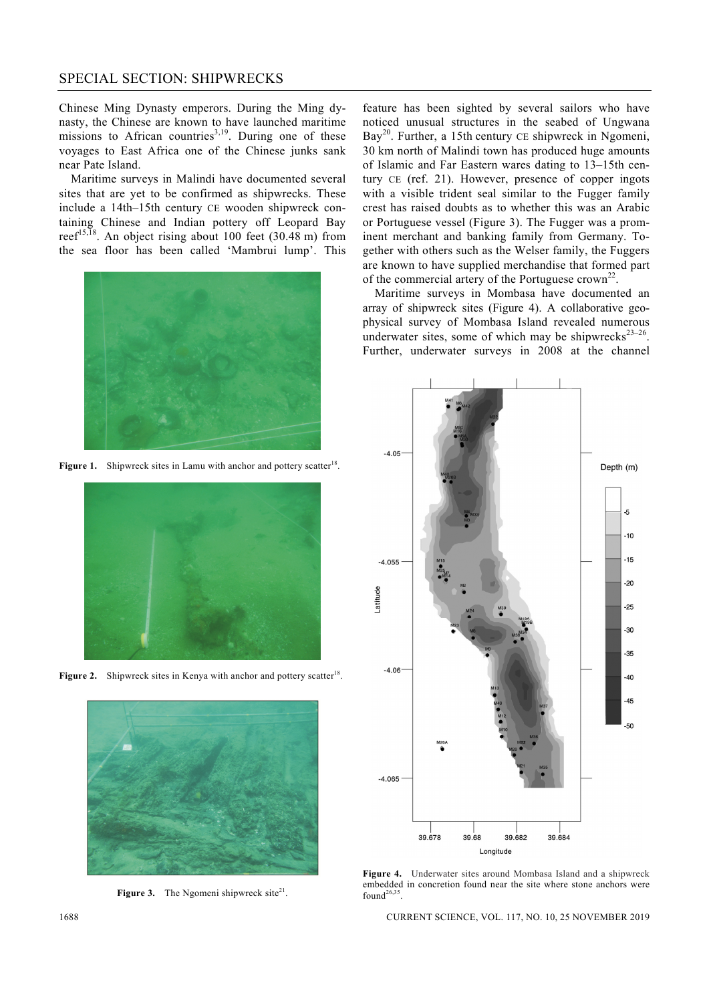# SPECIAL SECTION: SHIPWRECKS

Chinese Ming Dynasty emperors. During the Ming dynasty, the Chinese are known to have launched maritime missions to African countries<sup>3,19</sup>. During one of these voyages to East Africa one of the Chinese junks sank near Pate Island.

 Maritime surveys in Malindi have documented several sites that are yet to be confirmed as shipwrecks. These include a 14th–15th century CE wooden shipwreck containing Chinese and Indian pottery off Leopard Bay reef<sup>15,18</sup>. An object rising about 100 feet (30.48 m) from the sea floor has been called 'Mambrui lump'. This



**Figure 1.** Shipwreck sites in Lamu with anchor and pottery scatter<sup>18</sup>.



**Figure 2.** Shipwreck sites in Kenya with anchor and pottery scatter<sup>18</sup>.



**Figure 3.** The Ngomeni shipwreck site $2^{1}$ .

feature has been sighted by several sailors who have noticed unusual structures in the seabed of Ungwana Bay<sup>20</sup>. Further, a 15th century CE shipwreck in Ngomeni, 30 km north of Malindi town has produced huge amounts of Islamic and Far Eastern wares dating to 13–15th century CE (ref. 21). However, presence of copper ingots with a visible trident seal similar to the Fugger family crest has raised doubts as to whether this was an Arabic or Portuguese vessel (Figure 3). The Fugger was a prominent merchant and banking family from Germany. Together with others such as the Welser family, the Fuggers are known to have supplied merchandise that formed part of the commercial artery of the Portuguese crown<sup>22</sup>.

 Maritime surveys in Mombasa have documented an array of shipwreck sites (Figure 4). A collaborative geophysical survey of Mombasa Island revealed numerous underwater sites, some of which may be shipwrecks<sup>23–26</sup>. Further, underwater surveys in 2008 at the channel



**Figure 4.** Underwater sites around Mombasa Island and a shipwreck embedded in concretion found near the site where stone anchors were found $26,3$ .

1688 CURRENT SCIENCE, VOL. 117, NO. 10, 25 NOVEMBER 2019